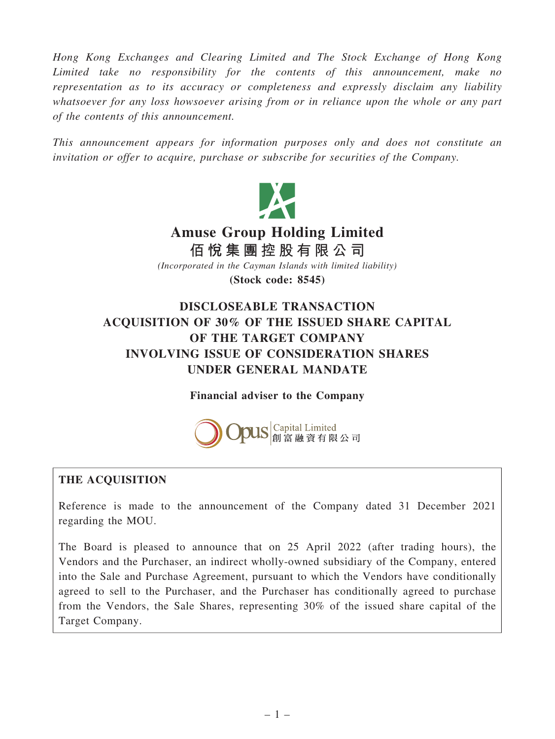Hong Kong Exchanges and Clearing Limited and The Stock Exchange of Hong Kong Limited take no responsibility for the contents of this announcement, make no representation as to its accuracy or completeness and expressly disclaim any liability whatsoever for any loss howsoever arising from or in reliance upon the whole or any part of the contents of this announcement.

This announcement appears for information purposes only and does not constitute an invitation or offer to acquire, purchase or subscribe for securities of the Company.



# UNDER GENERAL MANDATE

Financial adviser to the Company



# THE ACQUISITION

Reference is made to the announcement of the Company dated 31 December 2021 regarding the MOU.

The Board is pleased to announce that on 25 April 2022 (after trading hours), the Vendors and the Purchaser, an indirect wholly-owned subsidiary of the Company, entered into the Sale and Purchase Agreement, pursuant to which the Vendors have conditionally agreed to sell to the Purchaser, and the Purchaser has conditionally agreed to purchase from the Vendors, the Sale Shares, representing 30% of the issued share capital of the Target Company.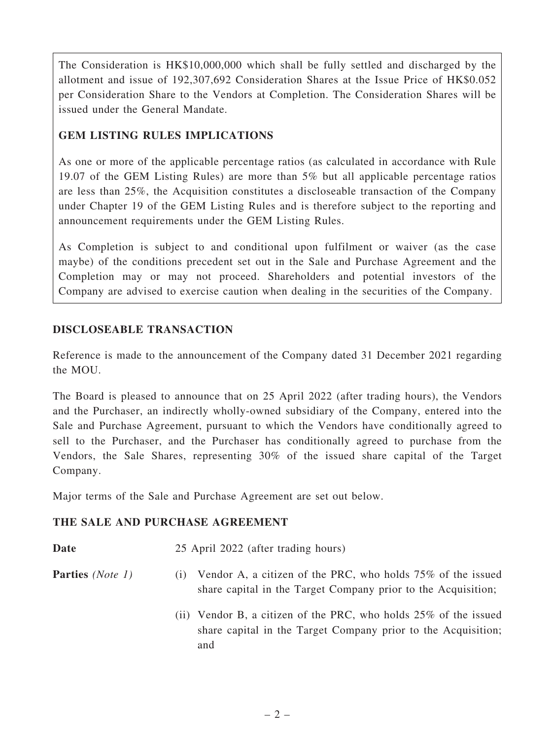The Consideration is HK\$10,000,000 which shall be fully settled and discharged by the allotment and issue of 192,307,692 Consideration Shares at the Issue Price of HK\$0.052 per Consideration Share to the Vendors at Completion. The Consideration Shares will be issued under the General Mandate.

# GEM LISTING RULES IMPLICATIONS

As one or more of the applicable percentage ratios (as calculated in accordance with Rule 19.07 of the GEM Listing Rules) are more than 5% but all applicable percentage ratios are less than 25%, the Acquisition constitutes a discloseable transaction of the Company under Chapter 19 of the GEM Listing Rules and is therefore subject to the reporting and announcement requirements under the GEM Listing Rules.

As Completion is subject to and conditional upon fulfilment or waiver (as the case maybe) of the conditions precedent set out in the Sale and Purchase Agreement and the Completion may or may not proceed. Shareholders and potential investors of the Company are advised to exercise caution when dealing in the securities of the Company.

# DISCLOSEABLE TRANSACTION

Reference is made to the announcement of the Company dated 31 December 2021 regarding the MOU.

The Board is pleased to announce that on 25 April 2022 (after trading hours), the Vendors and the Purchaser, an indirectly wholly-owned subsidiary of the Company, entered into the Sale and Purchase Agreement, pursuant to which the Vendors have conditionally agreed to sell to the Purchaser, and the Purchaser has conditionally agreed to purchase from the Vendors, the Sale Shares, representing 30% of the issued share capital of the Target Company.

Major terms of the Sale and Purchase Agreement are set out below.

# THE SALE AND PURCHASE AGREEMENT

Date 25 April 2022 (after trading hours)

- **Parties** (*Note 1*) (i) Vendor A, a citizen of the PRC, who holds 75% of the issued share capital in the Target Company prior to the Acquisition;
	- (ii) Vendor B, a citizen of the PRC, who holds 25% of the issued share capital in the Target Company prior to the Acquisition; and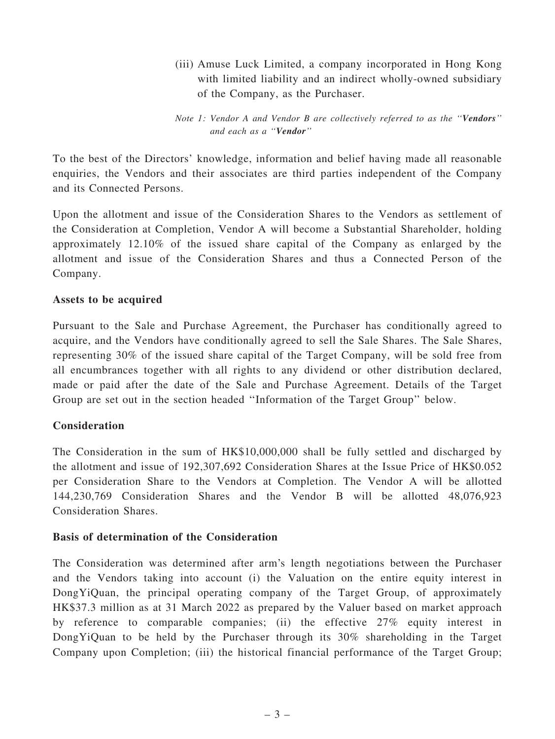(iii) Amuse Luck Limited, a company incorporated in Hong Kong with limited liability and an indirect wholly-owned subsidiary of the Company, as the Purchaser.

Note 1: Vendor A and Vendor B are collectively referred to as the ''Vendors'' and each as a ''Vendor''

To the best of the Directors' knowledge, information and belief having made all reasonable enquiries, the Vendors and their associates are third parties independent of the Company and its Connected Persons.

Upon the allotment and issue of the Consideration Shares to the Vendors as settlement of the Consideration at Completion, Vendor A will become a Substantial Shareholder, holding approximately 12.10% of the issued share capital of the Company as enlarged by the allotment and issue of the Consideration Shares and thus a Connected Person of the Company.

#### Assets to be acquired

Pursuant to the Sale and Purchase Agreement, the Purchaser has conditionally agreed to acquire, and the Vendors have conditionally agreed to sell the Sale Shares. The Sale Shares, representing 30% of the issued share capital of the Target Company, will be sold free from all encumbrances together with all rights to any dividend or other distribution declared, made or paid after the date of the Sale and Purchase Agreement. Details of the Target Group are set out in the section headed ''Information of the Target Group'' below.

#### **Consideration**

The Consideration in the sum of HK\$10,000,000 shall be fully settled and discharged by the allotment and issue of 192,307,692 Consideration Shares at the Issue Price of HK\$0.052 per Consideration Share to the Vendors at Completion. The Vendor A will be allotted 144,230,769 Consideration Shares and the Vendor B will be allotted 48,076,923 Consideration Shares.

#### Basis of determination of the Consideration

The Consideration was determined after arm's length negotiations between the Purchaser and the Vendors taking into account (i) the Valuation on the entire equity interest in DongYiQuan, the principal operating company of the Target Group, of approximately HK\$37.3 million as at 31 March 2022 as prepared by the Valuer based on market approach by reference to comparable companies; (ii) the effective 27% equity interest in DongYiQuan to be held by the Purchaser through its 30% shareholding in the Target Company upon Completion; (iii) the historical financial performance of the Target Group;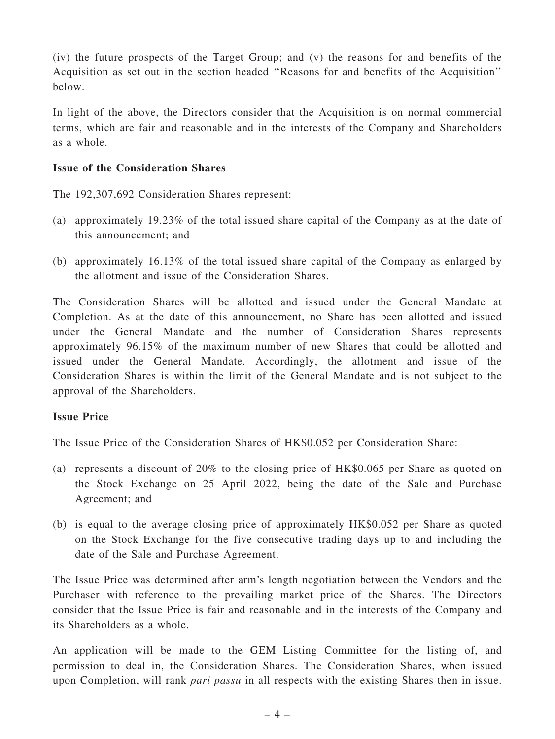(iv) the future prospects of the Target Group; and (v) the reasons for and benefits of the Acquisition as set out in the section headed ''Reasons for and benefits of the Acquisition'' below.

In light of the above, the Directors consider that the Acquisition is on normal commercial terms, which are fair and reasonable and in the interests of the Company and Shareholders as a whole.

#### Issue of the Consideration Shares

The 192,307,692 Consideration Shares represent:

- (a) approximately 19.23% of the total issued share capital of the Company as at the date of this announcement; and
- (b) approximately 16.13% of the total issued share capital of the Company as enlarged by the allotment and issue of the Consideration Shares.

The Consideration Shares will be allotted and issued under the General Mandate at Completion. As at the date of this announcement, no Share has been allotted and issued under the General Mandate and the number of Consideration Shares represents approximately 96.15% of the maximum number of new Shares that could be allotted and issued under the General Mandate. Accordingly, the allotment and issue of the Consideration Shares is within the limit of the General Mandate and is not subject to the approval of the Shareholders.

# Issue Price

The Issue Price of the Consideration Shares of HK\$0.052 per Consideration Share:

- (a) represents a discount of 20% to the closing price of HK\$0.065 per Share as quoted on the Stock Exchange on 25 April 2022, being the date of the Sale and Purchase Agreement; and
- (b) is equal to the average closing price of approximately HK\$0.052 per Share as quoted on the Stock Exchange for the five consecutive trading days up to and including the date of the Sale and Purchase Agreement.

The Issue Price was determined after arm's length negotiation between the Vendors and the Purchaser with reference to the prevailing market price of the Shares. The Directors consider that the Issue Price is fair and reasonable and in the interests of the Company and its Shareholders as a whole.

An application will be made to the GEM Listing Committee for the listing of, and permission to deal in, the Consideration Shares. The Consideration Shares, when issued upon Completion, will rank *pari passu* in all respects with the existing Shares then in issue.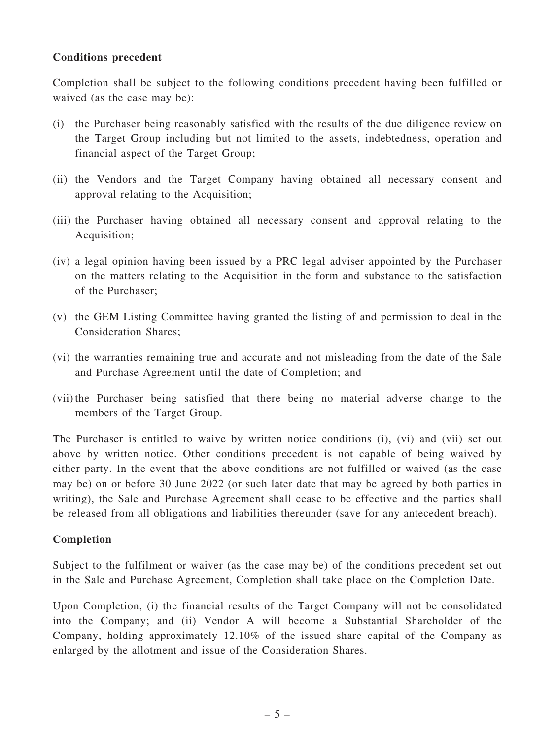#### Conditions precedent

Completion shall be subject to the following conditions precedent having been fulfilled or waived (as the case may be):

- (i) the Purchaser being reasonably satisfied with the results of the due diligence review on the Target Group including but not limited to the assets, indebtedness, operation and financial aspect of the Target Group;
- (ii) the Vendors and the Target Company having obtained all necessary consent and approval relating to the Acquisition;
- (iii) the Purchaser having obtained all necessary consent and approval relating to the Acquisition;
- (iv) a legal opinion having been issued by a PRC legal adviser appointed by the Purchaser on the matters relating to the Acquisition in the form and substance to the satisfaction of the Purchaser;
- (v) the GEM Listing Committee having granted the listing of and permission to deal in the Consideration Shares;
- (vi) the warranties remaining true and accurate and not misleading from the date of the Sale and Purchase Agreement until the date of Completion; and
- (vii)the Purchaser being satisfied that there being no material adverse change to the members of the Target Group.

The Purchaser is entitled to waive by written notice conditions (i), (vi) and (vii) set out above by written notice. Other conditions precedent is not capable of being waived by either party. In the event that the above conditions are not fulfilled or waived (as the case may be) on or before 30 June 2022 (or such later date that may be agreed by both parties in writing), the Sale and Purchase Agreement shall cease to be effective and the parties shall be released from all obligations and liabilities thereunder (save for any antecedent breach).

# Completion

Subject to the fulfilment or waiver (as the case may be) of the conditions precedent set out in the Sale and Purchase Agreement, Completion shall take place on the Completion Date.

Upon Completion, (i) the financial results of the Target Company will not be consolidated into the Company; and (ii) Vendor A will become a Substantial Shareholder of the Company, holding approximately 12.10% of the issued share capital of the Company as enlarged by the allotment and issue of the Consideration Shares.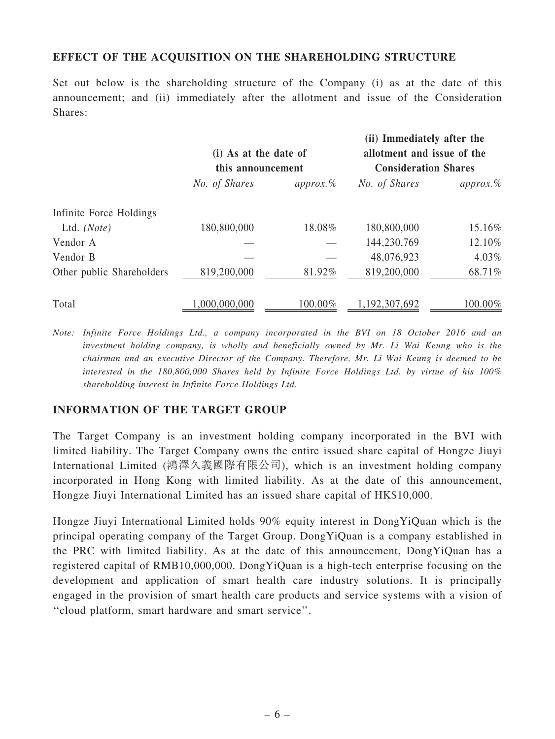#### EFFECT OF THE ACQUISITION ON THE SHAREHOLDING STRUCTURE

Set out below is the shareholding structure of the Company (i) as at the date of this announcement; and (ii) immediately after the allotment and issue of the Consideration Shares:

|                           | (i) As at the date of<br>this announcement |              | (ii) Immediately after the<br>allotment and issue of the<br><b>Consideration Shares</b> |              |
|---------------------------|--------------------------------------------|--------------|-----------------------------------------------------------------------------------------|--------------|
|                           | No. of Shares                              | $approx. \%$ | No. of Shares                                                                           | $approx. \%$ |
| Infinite Force Holdings   |                                            |              |                                                                                         |              |
| Ltd. $(Note)$             | 180,800,000                                | 18.08%       | 180,800,000                                                                             | 15.16%       |
| Vendor A                  |                                            |              | 144,230,769                                                                             | 12.10%       |
| Vendor B                  |                                            |              | 48,076,923                                                                              | 4.03%        |
| Other public Shareholders | 819,200,000                                | 81.92%       | 819,200,000                                                                             | 68.71%       |
| Total                     | 1,000,000,000                              | 100.00%      | 1,192,307,692                                                                           | 100.00%      |

Note: Infinite Force Holdings Ltd., a company incorporated in the BVI on 18 October 2016 and an investment holding company, is wholly and beneficially owned by Mr. Li Wai Keung who is the chairman and an executive Director of the Company. Therefore, Mr. Li Wai Keung is deemed to be interested in the 180,800,000 Shares held by Infinite Force Holdings Ltd. by virtue of his 100% shareholding interest in Infinite Force Holdings Ltd.

#### INFORMATION OF THE TARGET GROUP

The Target Company is an investment holding company incorporated in the BVI with limited liability. The Target Company owns the entire issued share capital of Hongze Jiuyi International Limited (鴻澤久義國際有限公司), which is an investment holding company incorporated in Hong Kong with limited liability. As at the date of this announcement, Hongze Jiuyi International Limited has an issued share capital of HK\$10,000.

Hongze Jiuyi International Limited holds 90% equity interest in DongYiQuan which is the principal operating company of the Target Group. DongYiQuan is a company established in the PRC with limited liability. As at the date of this announcement, DongYiQuan has a registered capital of RMB10,000,000. DongYiQuan is a high-tech enterprise focusing on the development and application of smart health care industry solutions. It is principally engaged in the provision of smart health care products and service systems with a vision of ''cloud platform, smart hardware and smart service''.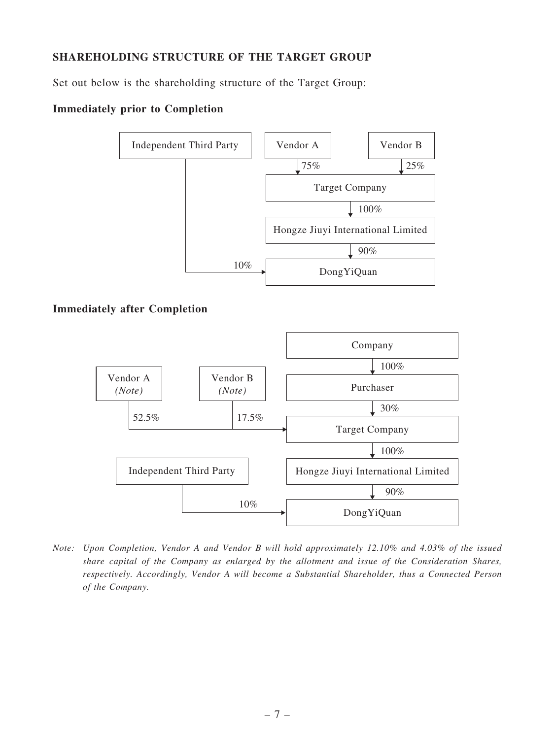# SHAREHOLDING STRUCTURE OF THE TARGET GROUP

Set out below is the shareholding structure of the Target Group:

# Immediately prior to Completion



Note: Upon Completion, Vendor A and Vendor B will hold approximately 12.10% and 4.03% of the issued share capital of the Company as enlarged by the allotment and issue of the Consideration Shares, respectively. Accordingly, Vendor A will become a Substantial Shareholder, thus a Connected Person of the Company.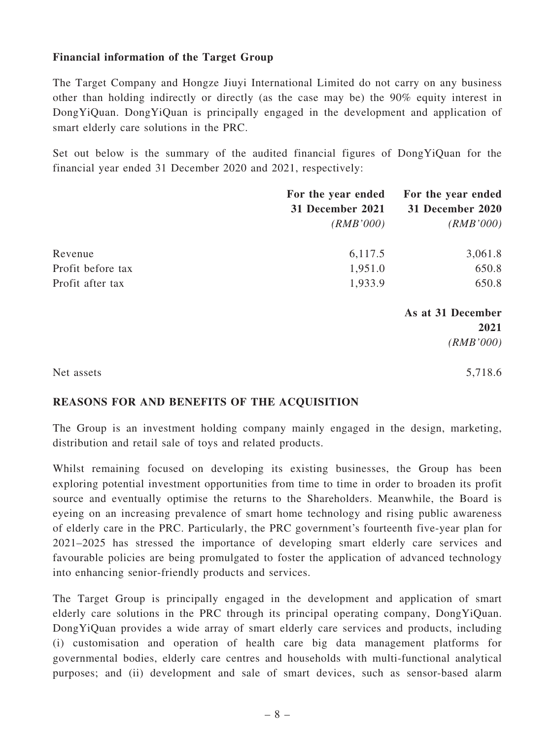#### Financial information of the Target Group

The Target Company and Hongze Jiuyi International Limited do not carry on any business other than holding indirectly or directly (as the case may be) the 90% equity interest in DongYiQuan. DongYiQuan is principally engaged in the development and application of smart elderly care solutions in the PRC.

Set out below is the summary of the audited financial figures of DongYiQuan for the financial year ended 31 December 2020 and 2021, respectively:

|                   | For the year ended | For the year ended |
|-------------------|--------------------|--------------------|
|                   | 31 December 2021   | 31 December 2020   |
|                   | (RMB'000)          | (RMB'000)          |
| Revenue           | 6,117.5            | 3,061.8            |
| Profit before tax | 1,951.0            | 650.8              |
| Profit after tax  | 1,933.9            | 650.8              |
|                   |                    | As at 31 December  |
|                   |                    | 2021               |
|                   |                    | (RMB'000)          |
| Net assets        |                    | 5,718.6            |

#### REASONS FOR AND BENEFITS OF THE ACQUISITION

The Group is an investment holding company mainly engaged in the design, marketing, distribution and retail sale of toys and related products.

Whilst remaining focused on developing its existing businesses, the Group has been exploring potential investment opportunities from time to time in order to broaden its profit source and eventually optimise the returns to the Shareholders. Meanwhile, the Board is eyeing on an increasing prevalence of smart home technology and rising public awareness of elderly care in the PRC. Particularly, the PRC government's fourteenth five-year plan for 2021–2025 has stressed the importance of developing smart elderly care services and favourable policies are being promulgated to foster the application of advanced technology into enhancing senior-friendly products and services.

The Target Group is principally engaged in the development and application of smart elderly care solutions in the PRC through its principal operating company, DongYiQuan. DongYiQuan provides a wide array of smart elderly care services and products, including (i) customisation and operation of health care big data management platforms for governmental bodies, elderly care centres and households with multi-functional analytical purposes; and (ii) development and sale of smart devices, such as sensor-based alarm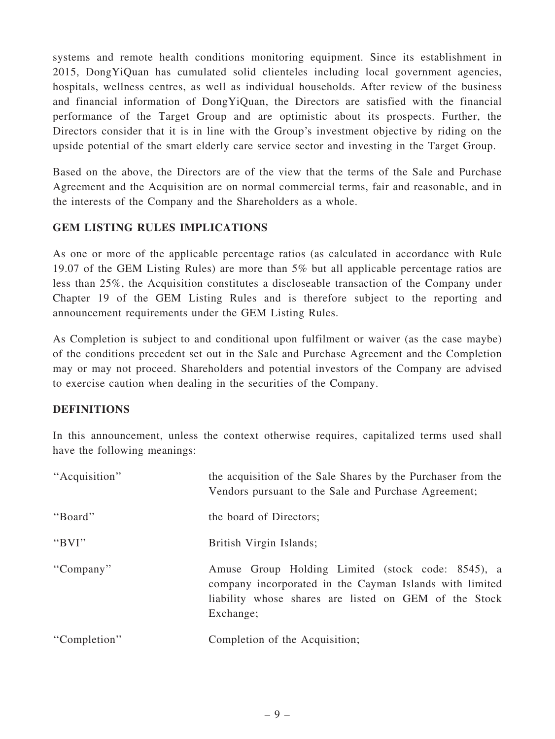systems and remote health conditions monitoring equipment. Since its establishment in 2015, DongYiQuan has cumulated solid clienteles including local government agencies, hospitals, wellness centres, as well as individual households. After review of the business and financial information of DongYiQuan, the Directors are satisfied with the financial performance of the Target Group and are optimistic about its prospects. Further, the Directors consider that it is in line with the Group's investment objective by riding on the upside potential of the smart elderly care service sector and investing in the Target Group.

Based on the above, the Directors are of the view that the terms of the Sale and Purchase Agreement and the Acquisition are on normal commercial terms, fair and reasonable, and in the interests of the Company and the Shareholders as a whole.

# GEM LISTING RULES IMPLICATIONS

As one or more of the applicable percentage ratios (as calculated in accordance with Rule 19.07 of the GEM Listing Rules) are more than 5% but all applicable percentage ratios are less than 25%, the Acquisition constitutes a discloseable transaction of the Company under Chapter 19 of the GEM Listing Rules and is therefore subject to the reporting and announcement requirements under the GEM Listing Rules.

As Completion is subject to and conditional upon fulfilment or waiver (as the case maybe) of the conditions precedent set out in the Sale and Purchase Agreement and the Completion may or may not proceed. Shareholders and potential investors of the Company are advised to exercise caution when dealing in the securities of the Company.

# **DEFINITIONS**

In this announcement, unless the context otherwise requires, capitalized terms used shall have the following meanings:

| "Acquisition" | the acquisition of the Sale Shares by the Purchaser from the<br>Vendors pursuant to the Sale and Purchase Agreement;                                                               |
|---------------|------------------------------------------------------------------------------------------------------------------------------------------------------------------------------------|
| "Board"       | the board of Directors;                                                                                                                                                            |
| " $BVI"$      | British Virgin Islands;                                                                                                                                                            |
| "Company"     | Amuse Group Holding Limited (stock code: 8545), a<br>company incorporated in the Cayman Islands with limited<br>liability whose shares are listed on GEM of the Stock<br>Exchange; |
| "Completion"  | Completion of the Acquisition;                                                                                                                                                     |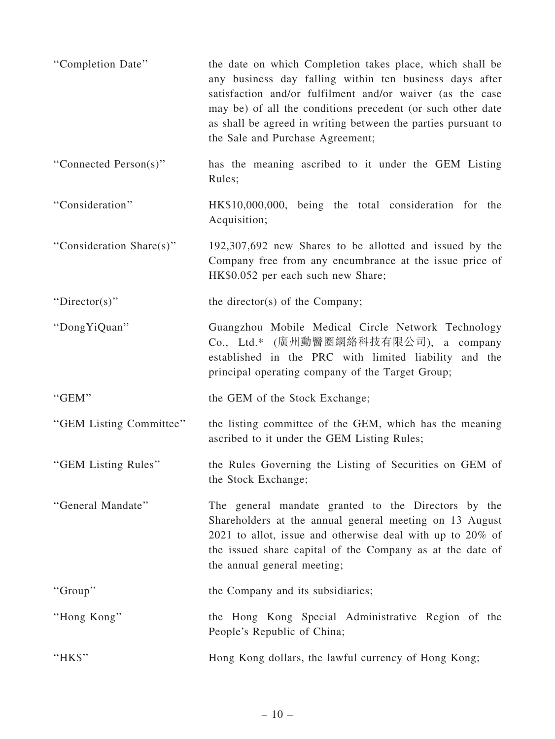| "Completion Date"        | the date on which Completion takes place, which shall be<br>any business day falling within ten business days after<br>satisfaction and/or fulfilment and/or waiver (as the case<br>may be) of all the conditions precedent (or such other date<br>as shall be agreed in writing between the parties pursuant to<br>the Sale and Purchase Agreement; |
|--------------------------|------------------------------------------------------------------------------------------------------------------------------------------------------------------------------------------------------------------------------------------------------------------------------------------------------------------------------------------------------|
| "Connected Person(s)"    | has the meaning ascribed to it under the GEM Listing<br>Rules;                                                                                                                                                                                                                                                                                       |
| "Consideration"          | HK\$10,000,000, being the total consideration for the<br>Acquisition;                                                                                                                                                                                                                                                                                |
| "Consideration Share(s)" | 192,307,692 new Shares to be allotted and issued by the<br>Company free from any encumbrance at the issue price of<br>HK\$0.052 per each such new Share;                                                                                                                                                                                             |
| "Director(s)"            | the director(s) of the Company;                                                                                                                                                                                                                                                                                                                      |
| "Dong YiQuan"            | Guangzhou Mobile Medical Circle Network Technology<br>Co., Ltd.* (廣州動醫圈網絡科技有限公司), a company<br>established in the PRC with limited liability and the<br>principal operating company of the Target Group;                                                                                                                                             |
| "GEM"                    | the GEM of the Stock Exchange;                                                                                                                                                                                                                                                                                                                       |
| "GEM Listing Committee"  | the listing committee of the GEM, which has the meaning<br>ascribed to it under the GEM Listing Rules;                                                                                                                                                                                                                                               |
| "GEM Listing Rules"      | the Rules Governing the Listing of Securities on GEM of<br>the Stock Exchange;                                                                                                                                                                                                                                                                       |
| "General Mandate"        | The general mandate granted to the Directors by the<br>Shareholders at the annual general meeting on 13 August<br>2021 to allot, issue and otherwise deal with up to 20% of<br>the issued share capital of the Company as at the date of<br>the annual general meeting;                                                                              |
| "Group"                  | the Company and its subsidiaries;                                                                                                                                                                                                                                                                                                                    |
| "Hong Kong"              | the Hong Kong Special Administrative Region of the<br>People's Republic of China;                                                                                                                                                                                                                                                                    |
| "HK\$"                   | Hong Kong dollars, the lawful currency of Hong Kong;                                                                                                                                                                                                                                                                                                 |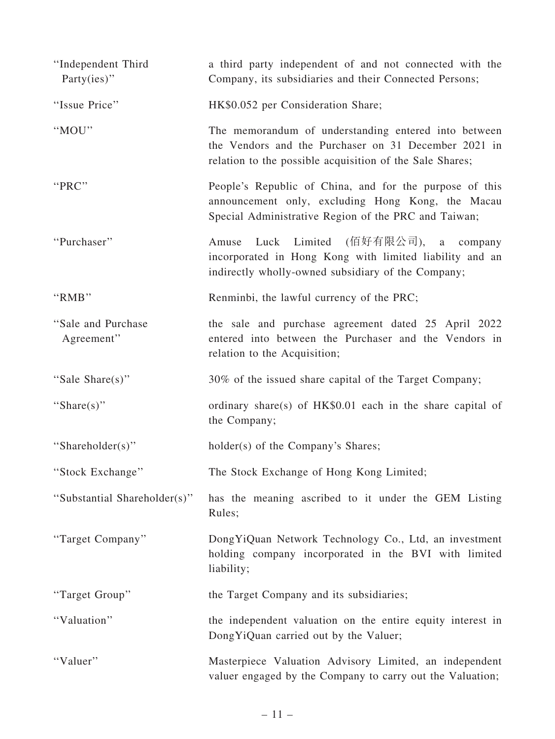| "Independent Third<br>Party $(ies)$ " | a third party independent of and not connected with the<br>Company, its subsidiaries and their Connected Persons;                                                        |
|---------------------------------------|--------------------------------------------------------------------------------------------------------------------------------------------------------------------------|
| "Issue Price"                         | HK\$0.052 per Consideration Share;                                                                                                                                       |
| "MOU"                                 | The memorandum of understanding entered into between<br>the Vendors and the Purchaser on 31 December 2021 in<br>relation to the possible acquisition of the Sale Shares; |
| "PRC"                                 | People's Republic of China, and for the purpose of this<br>announcement only, excluding Hong Kong, the Macau<br>Special Administrative Region of the PRC and Taiwan;     |
| "Purchaser"                           | (佰好有限公司), a company<br>Luck Limited<br>Amuse<br>incorporated in Hong Kong with limited liability and an<br>indirectly wholly-owned subsidiary of the Company;            |
| "RMB"                                 | Renminbi, the lawful currency of the PRC;                                                                                                                                |
| "Sale and Purchase"<br>Agreement"     | the sale and purchase agreement dated 25 April 2022<br>entered into between the Purchaser and the Vendors in<br>relation to the Acquisition;                             |
| "Sale Share(s)"                       | 30% of the issued share capital of the Target Company;                                                                                                                   |
| "Share(s)"                            | ordinary share(s) of HK\$0.01 each in the share capital of<br>the Company;                                                                                               |
| "Shareholder(s)"                      | holder(s) of the Company's Shares;                                                                                                                                       |
| "Stock Exchange"                      | The Stock Exchange of Hong Kong Limited;                                                                                                                                 |
| "Substantial Shareholder(s)"          | has the meaning ascribed to it under the GEM Listing<br>Rules;                                                                                                           |
| "Target Company"                      | Dong YiQuan Network Technology Co., Ltd, an investment<br>holding company incorporated in the BVI with limited<br>liability;                                             |
| "Target Group"                        | the Target Company and its subsidiaries;                                                                                                                                 |
| "Valuation"                           | the independent valuation on the entire equity interest in<br>Dong YiQuan carried out by the Valuer;                                                                     |
| "Valuer"                              | Masterpiece Valuation Advisory Limited, an independent<br>valuer engaged by the Company to carry out the Valuation;                                                      |